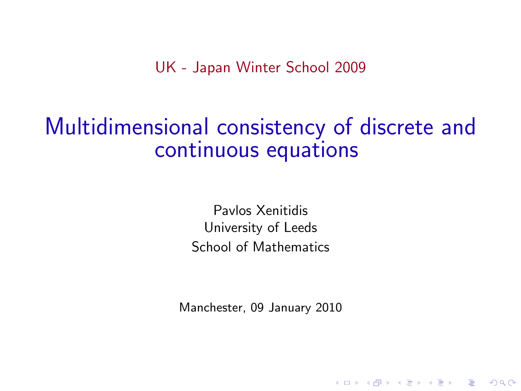UK - Japan Winter School 2009

# Multidimensional consistency of discrete and continuous equations

Pavlos Xenitidis University of Leeds School of Mathematics

Manchester, 09 January 2010

**A DIA K RIA K E A CHA K H A VIO**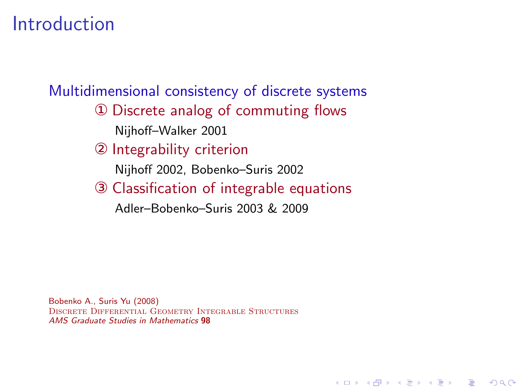## Introduction

Multidimensional consistency of discrete systems

- ① Discrete analog of commuting flows Nijhoff–Walker 2001
- ② Integrability criterion
	- Nijhoff 2002, Bobenko–Suris 2002
- ③ Classification of integrable equations

**KORK ERKER ER AGA** 

Adler–Bobenko–Suris 2003 & 2009

Bobenko A., Suris Yu (2008) Discrete Differential Geometry Integrable Structures *AMS Graduate Studies in Mathematics* 98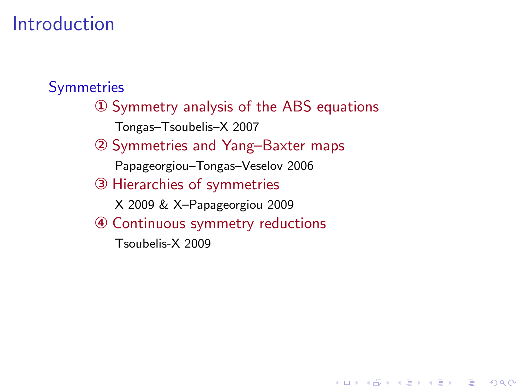## Introduction

#### **Symmetries**

① Symmetry analysis of the ABS equations Tongas–Tsoubelis–X 2007

**KORK EX KEY KEY YOUR** 

- ② Symmetries and Yang–Baxter maps
	- Papageorgiou–Tongas–Veselov 2006
- ③ Hierarchies of symmetries
	- X 2009 & X–Papageorgiou 2009
- ④ Continuous symmetry reductions
	- Tsoubelis-X 2009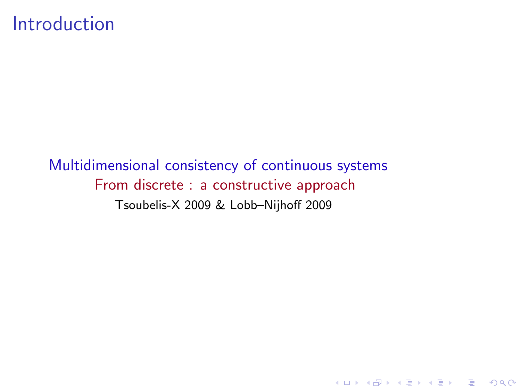#### Introduction

Multidimensional consistency of continuous systems From discrete : a constructive approach Tsoubelis-X 2009 & Lobb–Nijhoff 2009

K ロ ▶ K @ ▶ K 할 ▶ K 할 ▶ | 할 | © 9 Q @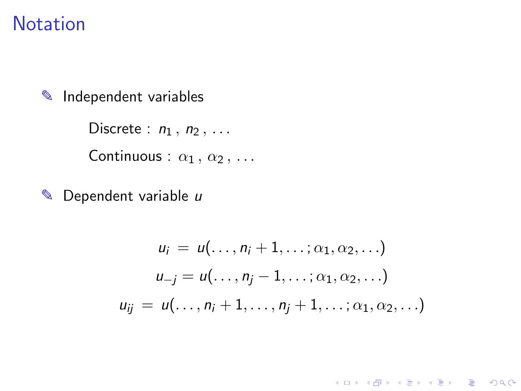#### **Notation**

✎ Independent variables

Discrete :  $n_1$ ,  $n_2$ , ... Continuous :  $\alpha_1, \alpha_2, \ldots$ 

 $\triangle$  Dependent variable  $u$ 

$$
u_i = u(\ldots, n_i + 1, \ldots; \alpha_1, \alpha_2, \ldots)
$$
  
\n
$$
u_{-j} = u(\ldots, n_j - 1, \ldots; \alpha_1, \alpha_2, \ldots)
$$
  
\n
$$
u_{ij} = u(\ldots, n_i + 1, \ldots, n_j + 1, \ldots; \alpha_1, \alpha_2, \ldots)
$$

K ロ ▶ K @ ▶ K 할 ▶ K 할 ▶ | 할 | ⊙Q @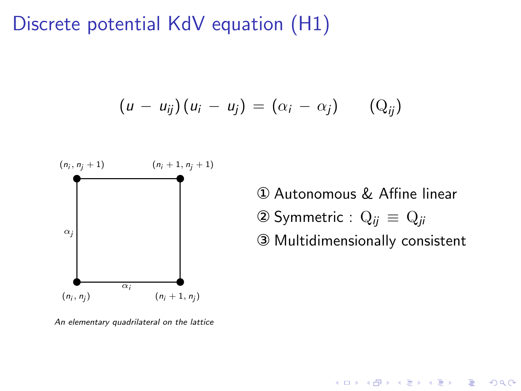## Discrete potential KdV equation (H1)

$$
(u - u_{ij})(u_i - u_j) = (\alpha_i - \alpha_j) \qquad (Q_{ij})
$$



*An elementary quadrilateral on the lattice*

① Autonomous & Affine linear

$$
2 Symmetric: Q_{ij} \equiv Q_{ji}
$$

③ Multidimensionally consistent

K ロ ▶ K @ ▶ K 할 > K 할 > 1 할 > 1 이익어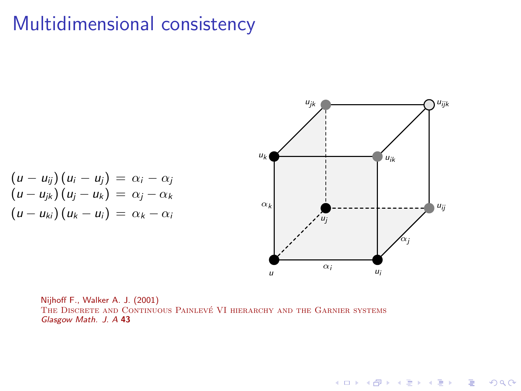### Multidimensional consistency



K ロ ▶ K @ ▶ K 할 ▶ K 할 ▶ | 할 | © 9 Q @

$$
(u - u_{ij})(u_i - u_j) = \alpha_i - \alpha_j
$$
  
\n
$$
(u - u_{jk})(u_j - u_k) = \alpha_j - \alpha_k
$$
  
\n
$$
(u - u_{ki})(u_k - u_i) = \alpha_k - \alpha_i
$$

Nijhoff F., Walker A. J. (2001) THE DISCRETE AND CONTINUOUS PAINLEVÉ VI HIERARCHY AND THE GARNIER SYSTEMS *Glasgow Math. J. A* 43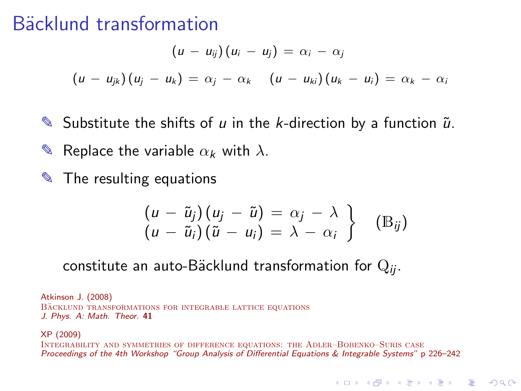### Bäcklund transformation

$$
(u - u_{ij})(u_i - u_j) = \alpha_i - \alpha_j
$$

$$
(u - u_{jk})(u_j - u_k) = \alpha_j - \alpha_k \quad (u - u_{ki})(u_k - u_i) = \alpha_k - \alpha_i
$$

- $\blacktriangleright$  Substitute the shifts of u in the k-direction by a function  $\tilde{u}$ .  $\blacktriangleright$  Replace the variable  $\alpha_k$  with  $\lambda$ .
- ✎ The resulting equations

$$
\begin{array}{l}\n\left(u-\tilde{u}_j\right)\left(u_j-\tilde{u}\right)=\alpha_j-\lambda \\
\left(u-\tilde{u}_i\right)\left(\tilde{u}-u_i\right)=\lambda-\alpha_i\n\end{array}\n\bigg\} \quad \text{(B}_{ij})
$$

constitute an auto-Bäcklund transformation for Q<sub>ii</sub>.

Atkinson J. (2008) BACKLUND TRANSFORMATIONS FOR INTEGRABLE LATTICE EQUATIONS *J. Phys. A: Math. Theor.* 41

XP (2009)

Integrability and symmetries of difference equations: the Adler–Bobenko–Suris case *Proceedings of the 4th Workshop "Group Analysis of Differential Equations & Integrable Systems"* p 226–242

**A DIA K RIA K E A CHA K H A VIO**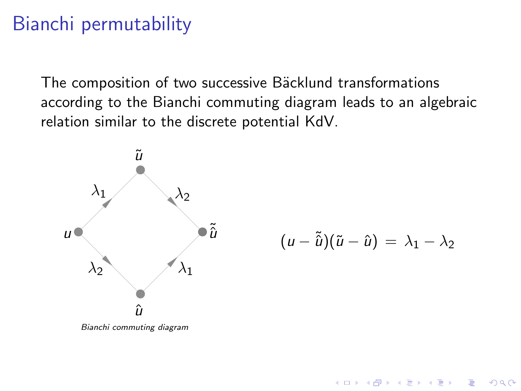## Bianchi permutability

The composition of two successive Bäcklund transformations according to the Bianchi commuting diagram leads to an algebraic relation similar to the discrete potential KdV.



 $(u - \tilde{u})(\tilde{u} - \hat{u}) = \lambda_1 - \lambda_2$ 

**KORK ERKER ER AGA** 

*Bianchi commuting diagram*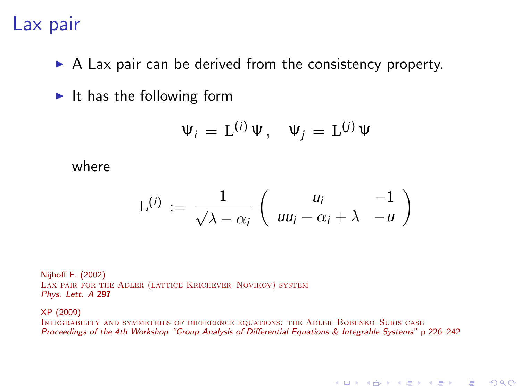## Lax pair

- $\triangleright$  A Lax pair can be derived from the consistency property.
- $\blacktriangleright$  It has the following form

$$
\Psi_i = \mathcal{L}^{(i)} \Psi, \quad \Psi_j = \mathcal{L}^{(j)} \Psi
$$

where

$$
\mathcal{L}^{(i)} := \frac{1}{\sqrt{\lambda - \alpha_i}} \left( \begin{array}{cc} u_i & -1 \\ u u_i - \alpha_i + \lambda & -u \end{array} \right)
$$

Nijhoff F. (2002) Lax pair for the Adler (lattice Krichever–Novikov) system *Phys. Lett. A* 297

XP (2009)

Integrability and symmetries of difference equations: the Adler–Bobenko–Suris case *Proceedings of the 4th Workshop "Group Analysis of Differential Equations & Integrable Systems"* p 226–242

**KORK EX KEY ARY YOUR**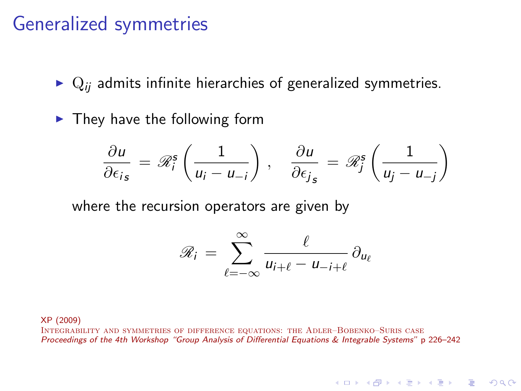#### Generalized symmetries

- $\triangleright$   $\mathbf{Q}_{ii}$  admits infinite hierarchies of generalized symmetries.
- $\blacktriangleright$  They have the following form

$$
\frac{\partial u}{\partial \epsilon_{is}} = \mathscr{R}_i^{\mathsf{s}} \left( \frac{1}{u_i - u_{-i}} \right), \quad \frac{\partial u}{\partial \epsilon_{js}} = \mathscr{R}_j^{\mathsf{s}} \left( \frac{1}{u_j - u_{-j}} \right)
$$

where the recursion operators are given by

$$
\mathscr{R}_i = \sum_{\ell=-\infty}^{\infty} \frac{\ell}{u_{i+\ell} - u_{-i+\ell}} \, \partial_{u_\ell}
$$

**A DIA K RIA K E A SA K H A K RIA K LE A SA CA** 

XP (2009)

Integrability and symmetries of difference equations: the Adler–Bobenko–Suris case *Proceedings of the 4th Workshop "Group Analysis of Differential Equations & Integrable Systems"* p 226–242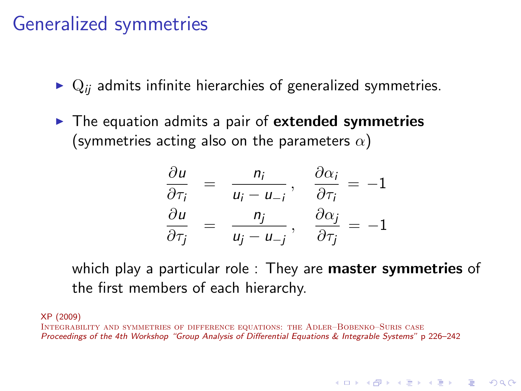## Generalized symmetries

- $\triangleright$   $\mathbf{Q}_{ii}$  admits infinite hierarchies of generalized symmetries.
- ▶ The equation admits a pair of extended symmetries (symmetries acting also on the parameters  $\alpha$ )

$$
\frac{\partial u}{\partial \tau_i} = \frac{n_i}{u_i - u_{-i}}, \quad \frac{\partial \alpha_i}{\partial \tau_i} = -1
$$
  

$$
\frac{\partial u}{\partial \tau_j} = \frac{n_j}{u_j - u_{-j}}, \quad \frac{\partial \alpha_j}{\partial \tau_j} = -1
$$

which play a particular role : They are **master symmetries** of the first members of each hierarchy.

**A DIA K RIA K E A SA K H A K RIA K LE A SA CA** 

XP (2009)

Integrability and symmetries of difference equations: the Adler–Bobenko–Suris case *Proceedings of the 4th Workshop "Group Analysis of Differential Equations & Integrable Systems"* p 226–242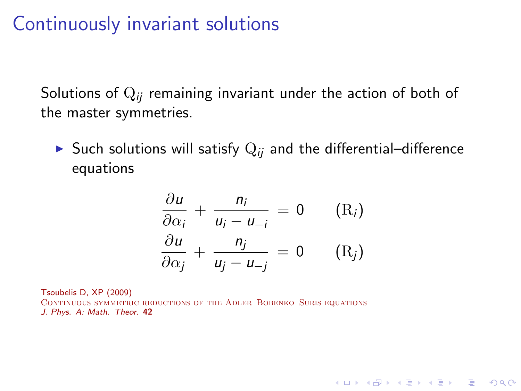### Continuously invariant solutions

Solutions of Q*ij* remaining invariant under the action of both of the master symmetries.

► Such solutions will satisfy  $Q_{ii}$  and the differential–difference equations

$$
\frac{\partial u}{\partial \alpha_i} + \frac{n_i}{u_i - u_{-i}} = 0 \qquad (R_i)
$$

$$
\frac{\partial u}{\partial \alpha_j} + \frac{n_j}{u_j - u_{-j}} = 0 \qquad (R_j)
$$

**A DIA K RIA K E A SA K H A K RIA K LE A SA CA** 

Tsoubelis D, XP (2009)

Continuous symmetric reductions of the Adler–Bobenko–Suris equations *J. Phys. A: Math. Theor.* 42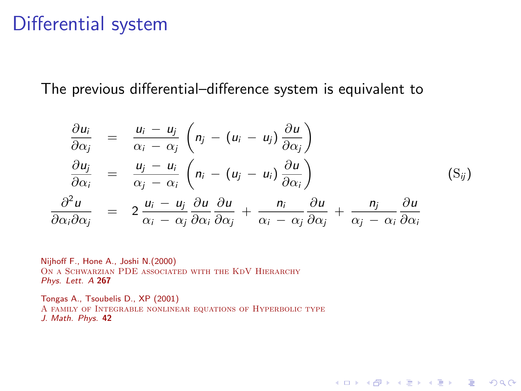#### Differential system

The previous differential–difference system is equivalent to

$$
\frac{\partial u_i}{\partial \alpha_j} = \frac{u_i - u_j}{\alpha_i - \alpha_j} \left( n_j - (u_i - u_j) \frac{\partial u}{\partial \alpha_j} \right)
$$
\n
$$
\frac{\partial u_j}{\partial \alpha_i} = \frac{u_j - u_i}{\alpha_j - \alpha_i} \left( n_i - (u_j - u_i) \frac{\partial u}{\partial \alpha_i} \right)
$$
\n
$$
\frac{\partial^2 u}{\partial \alpha_i \partial \alpha_j} = 2 \frac{u_i - u_j}{\alpha_i - \alpha_j} \frac{\partial u}{\partial \alpha_i} \frac{\partial u}{\partial \alpha_j} + \frac{n_i}{\alpha_i - \alpha_j} \frac{\partial u}{\partial \alpha_j} + \frac{n_j}{\alpha_j - \alpha_i} \frac{\partial u}{\partial \alpha_i}
$$
\n(S<sub>ij</sub>)

**KORK EXTERNE PROVIDE** 

Nijhoff F., Hone A., Joshi N.(2000) ON A SCHWARZIAN PDE ASSOCIATED WITH THE KDV HIERARCHY *Phys. Lett. A* 267

Tongas A., Tsoubelis D., XP (2001) A family of Integrable nonlinear equations of Hyperbolic type *J. Math. Phys.* 42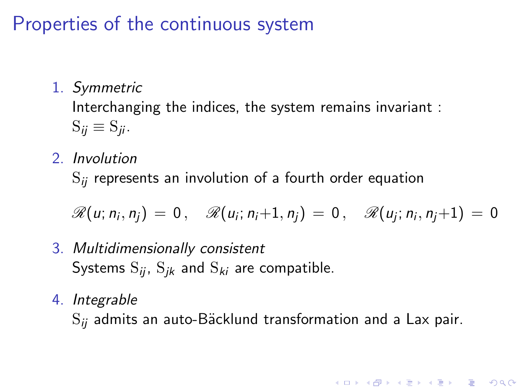## Properties of the continuous system

1. Symmetric

Interchanging the indices, the system remains invariant :  $S_{ii} \equiv S_{ii}$ .

2. Involution

S*ij* represents an involution of a fourth order equation

$$
\mathscr{R}(u; n_i, n_j) = 0, \quad \mathscr{R}(u_i; n_i+1, n_j) = 0, \quad \mathscr{R}(u_j; n_i, n_j+1) = 0
$$

- 3. Multidimensionally consistent Systems  $S_{ij}$ ,  $S_{jk}$  and  $S_{ki}$  are compatible.
- 4. Integrable

 $S_{ii}$  admits an auto-Bäcklund transformation and a Lax pair.

**A DIA K RIA K E A SA K H A K RIA K LE A SA CA**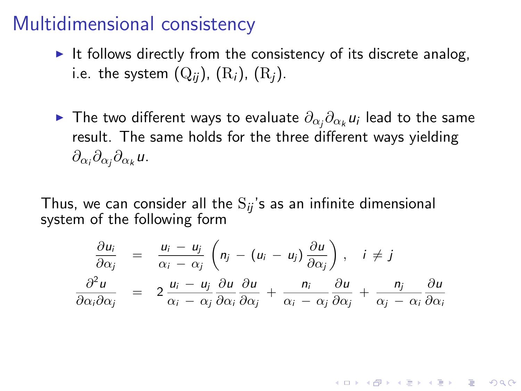### Multidimensional consistency

- $\triangleright$  It follows directly from the consistency of its discrete analog, i.e. the system  $(Q_{ii})$ ,  $(R_i)$ ,  $(R_i)$ .
- ► The two different ways to evaluate  $\partial_{\alpha_j}\partial_{\alpha_k}u_i$  lead to the same result. The same holds for the three different ways yielding  $\partial_{\alpha_i}\partial_{\alpha_j}\partial_{\alpha_k}$ u.

Thus, we can consider all the  $S_{ii}$ 's as an infinite dimensional system of the following form

$$
\frac{\partial u_i}{\partial \alpha_j} = \frac{u_i - u_j}{\alpha_i - \alpha_j} \left( n_j - (u_i - u_j) \frac{\partial u}{\partial \alpha_j} \right), \quad i \neq j
$$
  

$$
\frac{\partial^2 u}{\partial \alpha_i \partial \alpha_j} = 2 \frac{u_i - u_j}{\alpha_i - \alpha_j} \frac{\partial u}{\partial \alpha_i} \frac{\partial u}{\partial \alpha_j} + \frac{n_i}{\alpha_i - \alpha_j} \frac{\partial u}{\partial \alpha_j} + \frac{n_j}{\alpha_j - \alpha_i} \frac{\partial u}{\partial \alpha_i}
$$

**K ロ ▶ K @ ▶ K 할 X X 할 X → 할 X → 9 Q Q ^**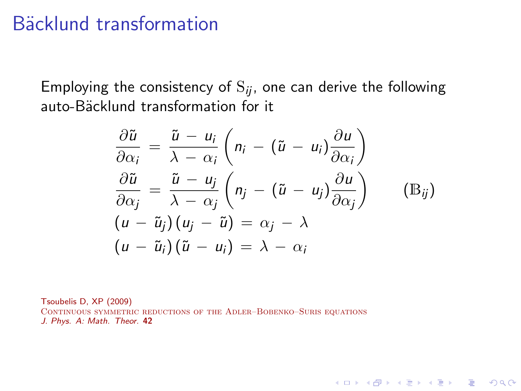#### Bäcklund transformation

Employing the consistency of  $S_{ij}$ , one can derive the following auto-Bäcklund transformation for it

$$
\frac{\partial \tilde{u}}{\partial \alpha_i} = \frac{\tilde{u} - u_i}{\lambda - \alpha_i} \left( n_i - (\tilde{u} - u_i) \frac{\partial u}{\partial \alpha_i} \right)
$$
  
\n
$$
\frac{\partial \tilde{u}}{\partial \alpha_j} = \frac{\tilde{u} - u_j}{\lambda - \alpha_j} \left( n_j - (\tilde{u} - u_j) \frac{\partial u}{\partial \alpha_j} \right)
$$
  
\n
$$
(u - \tilde{u}_j) (u_j - \tilde{u}) = \alpha_j - \lambda
$$
  
\n
$$
(u - \tilde{u}_i) (\tilde{u} - u_i) = \lambda - \alpha_i
$$
 (Bij)

**KORK EXTERNE PROVIDE** 

Tsoubelis D, XP (2009) CONTINUOUS SYMMETRIC REDUCTIONS OF THE ADLER-BOBENKO-SURIS EQUATIONS *J. Phys. A: Math. Theor.* 42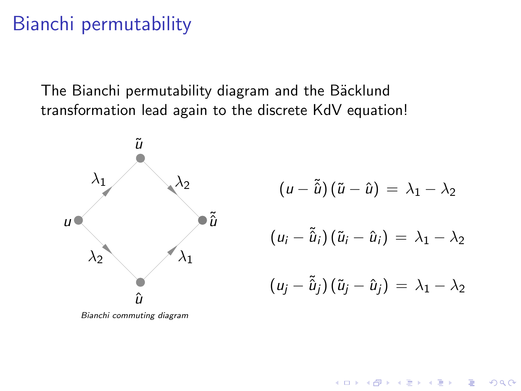## Bianchi permutability

The Bianchi permutability diagram and the Bäcklund transformation lead again to the discrete KdV equation!



 $(u - \tilde{\hat{u}})(\tilde{u} - \hat{u}) = \lambda_1 - \lambda_2$  $(u_i - \tilde{\hat{u}}_i)(\tilde{u}_i - \hat{u}_i) = \lambda_1 - \lambda_2$  $(u_i - \tilde{\hat{u}}_i)(\tilde{u}_i - \hat{u}_i) = \lambda_1 - \lambda_2$ 

 $\overline{z}$  (  $\overline{z}$  )  $\overline{z}$  )  $\overline{z}$  )  $\overline{z}$  )  $\overline{z}$ 

 $QQ$ 

*Bianchi commuting diagram*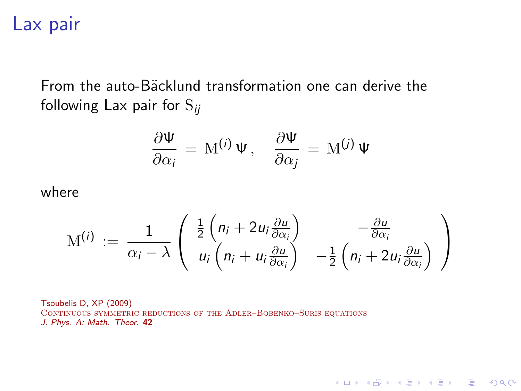#### Lax pair

From the auto-Bäcklund transformation one can derive the following Lax pair for S*ij*

$$
\frac{\partial \Psi}{\partial \alpha_i} = \mathbf{M}^{(i)} \Psi, \quad \frac{\partial \Psi}{\partial \alpha_j} = \mathbf{M}^{(j)} \Psi
$$

where

$$
\mathrm{M}^{(i)} \, := \, \frac{1}{\alpha_i - \lambda} \left( \begin{array}{c} \frac{1}{2} \left( n_i + 2 u_i \frac{\partial u}{\partial \alpha_i} \right) & -\frac{\partial u}{\partial \alpha_i} \\ u_i \left( n_i + u_i \frac{\partial u}{\partial \alpha_i} \right) & -\frac{1}{2} \left( n_i + 2 u_i \frac{\partial u}{\partial \alpha_i} \right) \end{array} \right)
$$

K ロ ▶ K @ ▶ K 할 ▶ K 할 ▶ | 할 | © 9 Q @

Tsoubelis D, XP (2009) Continuous symmetric reductions of the Adler–Bobenko–Suris equations *J. Phys. A: Math. Theor.* 42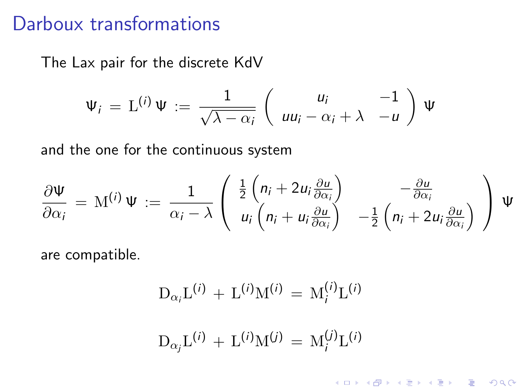## Darboux transformations

The Lax pair for the discrete KdV

$$
\Psi_i = \mathcal{L}^{(i)} \Psi := \frac{1}{\sqrt{\lambda - \alpha_i}} \begin{pmatrix} u_i & -1 \\ uu_i - \alpha_i + \lambda & -u \end{pmatrix} \Psi
$$

and the one for the continuous system

$$
\frac{\partial \Psi}{\partial \alpha_i} = \mathbf{M}^{(i)} \Psi := \frac{1}{\alpha_i - \lambda} \begin{pmatrix} \frac{1}{2} \left( n_i + 2 u_i \frac{\partial u}{\partial \alpha_i} \right) & -\frac{\partial u}{\partial \alpha_i} \\ u_i \left( n_i + u_i \frac{\partial u}{\partial \alpha_i} \right) & -\frac{1}{2} \left( n_i + 2 u_i \frac{\partial u}{\partial \alpha_i} \right) \end{pmatrix} \Psi
$$

are compatible.

$$
D_{\alpha_i}L^{(i)} + L^{(i)}M^{(i)} = M_i^{(i)}L^{(i)}
$$
  

$$
D_{\alpha_j}L^{(i)} + L^{(i)}M^{(j)} = M_i^{(j)}L^{(i)}
$$

KO K K Ø K K I K I LA LI I LA K V K LA LI I LA V LA LI